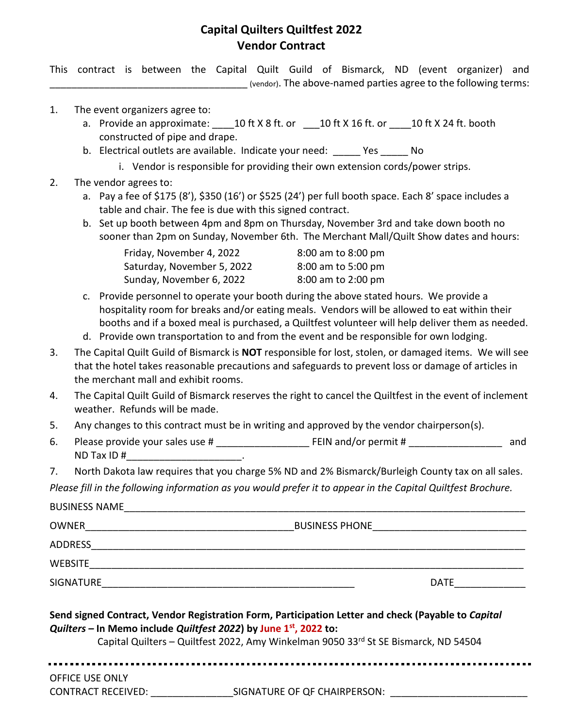## **Capital Quilters Quiltfest 2022 Vendor Contract**

This contract is between the Capital Quilt Guild of Bismarck, ND (event organizer) and \_\_\_\_\_\_\_\_\_\_\_\_\_\_\_\_\_\_\_\_\_\_\_\_\_\_\_\_\_\_\_\_\_\_\_\_ (vendor). The above-named parties agree to the following terms:

- 1. The event organizers agree to:
	- a. Provide an approximate:  $10$  ft X 8 ft. or  $\_\_10$  ft X 16 ft. or  $\_\_10$  ft X 24 ft. booth constructed of pipe and drape.
	- b. Electrical outlets are available. Indicate your need: Yes No
		- i. Vendor is responsible for providing their own extension cords/power strips.
- 2. The vendor agrees to:
	- a. Pay a fee of \$175 (8'), \$350 (16') or \$525 (24') per full booth space. Each 8' space includes a table and chair. The fee is due with this signed contract.
	- b. Set up booth between 4pm and 8pm on Thursday, November 3rd and take down booth no sooner than 2pm on Sunday, November 6th. The Merchant Mall/Quilt Show dates and hours:

| Friday, November 4, 2022   | 8:00 am to 8:00 pm |
|----------------------------|--------------------|
| Saturday, November 5, 2022 | 8:00 am to 5:00 pm |
| Sunday, November 6, 2022   | 8:00 am to 2:00 pm |

- c. Provide personnel to operate your booth during the above stated hours. We provide a hospitality room for breaks and/or eating meals. Vendors will be allowed to eat within their booths and if a boxed meal is purchased, a Quiltfest volunteer will help deliver them as needed.
- d. Provide own transportation to and from the event and be responsible for own lodging.
- 3. The Capital Quilt Guild of Bismarck is **NOT** responsible for lost, stolen, or damaged items. We will see that the hotel takes reasonable precautions and safeguards to prevent loss or damage of articles in the merchant mall and exhibit rooms.
- 4. The Capital Quilt Guild of Bismarck reserves the right to cancel the Quiltfest in the event of inclement weather. Refunds will be made.
- 5. Any changes to this contract must be in writing and approved by the vendor chairperson(s).
- 6. Please provide your sales use # \_\_\_\_\_\_\_\_\_\_\_\_\_\_\_\_\_\_\_\_\_\_\_\_\_\_\_\_FEIN and/or permit # \_\_\_\_\_\_\_\_\_\_\_\_\_\_\_\_\_\_\_\_\_\_\_ and  $ND$  Tax ID  $#$
- 7. North Dakota law requires that you charge 5% ND and 2% Bismarck/Burleigh County tax on all sales.

*Please fill in the following information as you would prefer it to appear in the Capital Quiltfest Brochure.*

| <b>BUSINESS NAME</b> |  |
|----------------------|--|
|                      |  |

OWNER\_\_\_\_\_\_\_\_\_\_\_\_\_\_\_\_\_\_\_\_\_\_\_\_\_\_\_\_\_\_\_\_\_\_\_\_\_\_BUSINESS PHONE\_\_\_\_\_\_\_\_\_\_\_\_\_\_\_\_\_\_\_\_\_\_\_\_\_\_\_\_

ADDRESS\_\_\_\_\_\_\_\_\_\_\_\_\_\_\_\_\_\_\_\_\_\_\_\_\_\_\_\_\_\_\_\_\_\_\_\_\_\_\_\_\_\_\_\_\_\_\_\_\_\_\_\_\_\_\_\_\_\_\_\_\_\_\_\_\_\_\_\_\_\_\_\_\_\_\_\_\_\_\_

WEBSITE\_\_\_\_\_\_\_\_\_\_\_\_\_\_\_\_\_\_\_\_\_\_\_\_\_\_\_\_\_\_\_\_\_\_\_\_\_\_\_\_\_\_\_\_\_\_\_\_\_\_\_\_\_\_\_\_\_\_\_\_\_\_\_\_\_\_\_\_\_\_\_\_\_\_\_\_\_\_\_

SIGNATURE\_\_\_\_\_\_\_\_\_\_\_\_\_\_\_\_\_\_\_\_\_\_\_\_\_\_\_\_\_\_\_\_\_\_\_\_\_\_\_\_\_\_\_\_\_\_ DATE\_\_\_\_\_\_\_\_\_\_\_\_\_

| Send signed Contract, Vendor Registration Form, Participation Letter and check (Payable to Capital |  |
|----------------------------------------------------------------------------------------------------|--|
| Quilters – In Memo include Quiltfest 2022) by June $1st$ , 2022 to:                                |  |

Capital Quilters – Quiltfest 2022, Amy Winkelman 9050 33rd St SE Bismarck, ND 54504

OFFICE USE ONLY

CONTRACT RECEIVED: \_\_\_\_\_\_\_\_\_\_\_\_\_\_\_SIGNATURE OF QF CHAIRPERSON: \_\_\_\_\_\_\_\_\_\_\_\_\_\_\_\_\_\_\_\_\_\_\_\_\_